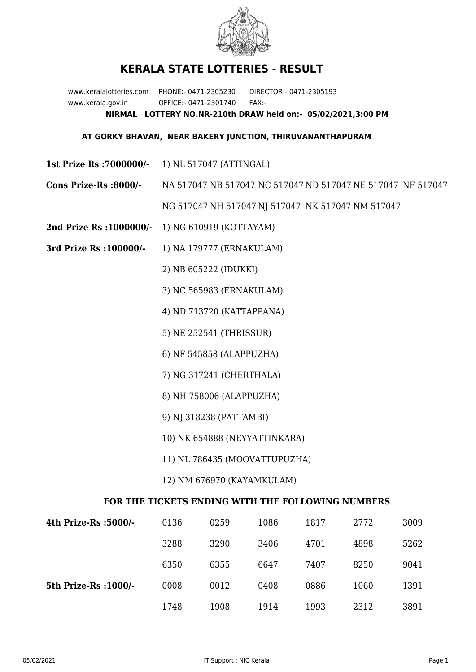

## **KERALA STATE LOTTERIES - RESULT**

www.keralalotteries.com PHONE:- 0471-2305230 DIRECTOR:- 0471-2305193 www.kerala.gov.in OFFICE:- 0471-2301740 FAX:- **NIRMAL LOTTERY NO.NR-210th DRAW held on:- 05/02/2021,3:00 PM**

## **AT GORKY BHAVAN, NEAR BAKERY JUNCTION, THIRUVANANTHAPURAM**

- **1st Prize Rs :7000000/-** 1) NL 517047 (ATTINGAL)
- **Cons Prize-Rs :8000/-** NA 517047 NB 517047 NC 517047 ND 517047 NE 517047 NF 517047

NG 517047 NH 517047 NJ 517047 NK 517047 NM 517047

- **2nd Prize Rs :1000000/-** 1) NG 610919 (KOTTAYAM)
- **3rd Prize Rs :100000/-** 1) NA 179777 (ERNAKULAM)

2) NB 605222 (IDUKKI)

- 3) NC 565983 (ERNAKULAM)
- 4) ND 713720 (KATTAPPANA)
- 5) NE 252541 (THRISSUR)
- 6) NF 545858 (ALAPPUZHA)
- 7) NG 317241 (CHERTHALA)
- 8) NH 758006 (ALAPPUZHA)
- 9) NJ 318238 (PATTAMBI)
- 10) NK 654888 (NEYYATTINKARA)
- 11) NL 786435 (MOOVATTUPUZHA)
- 12) NM 676970 (KAYAMKULAM)

## **FOR THE TICKETS ENDING WITH THE FOLLOWING NUMBERS**

| 4th Prize-Rs :5000/-  | 0136 | 0259 | 1086 | 1817 | 2772 | 3009 |
|-----------------------|------|------|------|------|------|------|
|                       | 3288 | 3290 | 3406 | 4701 | 4898 | 5262 |
|                       | 6350 | 6355 | 6647 | 7407 | 8250 | 9041 |
| 5th Prize-Rs : 1000/- | 0008 | 0012 | 0408 | 0886 | 1060 | 1391 |
|                       | 1748 | 1908 | 1914 | 1993 | 2312 | 3891 |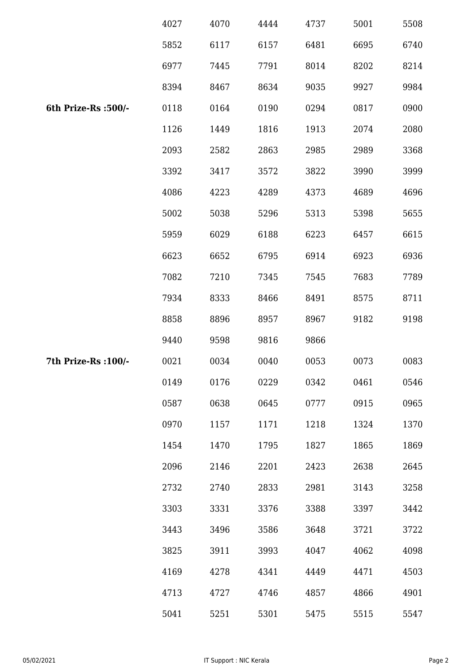|                      | 4027 | 4070 | 4444 | 4737 | 5001 | 5508 |
|----------------------|------|------|------|------|------|------|
|                      | 5852 | 6117 | 6157 | 6481 | 6695 | 6740 |
|                      | 6977 | 7445 | 7791 | 8014 | 8202 | 8214 |
|                      | 8394 | 8467 | 8634 | 9035 | 9927 | 9984 |
| 6th Prize-Rs :500/-  | 0118 | 0164 | 0190 | 0294 | 0817 | 0900 |
|                      | 1126 | 1449 | 1816 | 1913 | 2074 | 2080 |
|                      | 2093 | 2582 | 2863 | 2985 | 2989 | 3368 |
|                      | 3392 | 3417 | 3572 | 3822 | 3990 | 3999 |
|                      | 4086 | 4223 | 4289 | 4373 | 4689 | 4696 |
|                      | 5002 | 5038 | 5296 | 5313 | 5398 | 5655 |
|                      | 5959 | 6029 | 6188 | 6223 | 6457 | 6615 |
|                      | 6623 | 6652 | 6795 | 6914 | 6923 | 6936 |
|                      | 7082 | 7210 | 7345 | 7545 | 7683 | 7789 |
|                      | 7934 | 8333 | 8466 | 8491 | 8575 | 8711 |
|                      | 8858 | 8896 | 8957 | 8967 | 9182 | 9198 |
|                      | 9440 | 9598 | 9816 | 9866 |      |      |
| 7th Prize-Rs : 100/- | 0021 | 0034 | 0040 | 0053 | 0073 | 0083 |
|                      | 0149 | 0176 | 0229 | 0342 | 0461 | 0546 |
|                      | 0587 | 0638 | 0645 | 0777 | 0915 | 0965 |
|                      | 0970 | 1157 | 1171 | 1218 | 1324 | 1370 |
|                      | 1454 | 1470 | 1795 | 1827 | 1865 | 1869 |
|                      | 2096 | 2146 | 2201 | 2423 | 2638 | 2645 |
|                      | 2732 | 2740 | 2833 | 2981 | 3143 | 3258 |
|                      | 3303 | 3331 | 3376 | 3388 | 3397 | 3442 |
|                      | 3443 | 3496 | 3586 | 3648 | 3721 | 3722 |
|                      | 3825 | 3911 | 3993 | 4047 | 4062 | 4098 |
|                      | 4169 | 4278 | 4341 | 4449 | 4471 | 4503 |
|                      | 4713 | 4727 | 4746 | 4857 | 4866 | 4901 |
|                      | 5041 | 5251 | 5301 | 5475 | 5515 | 5547 |